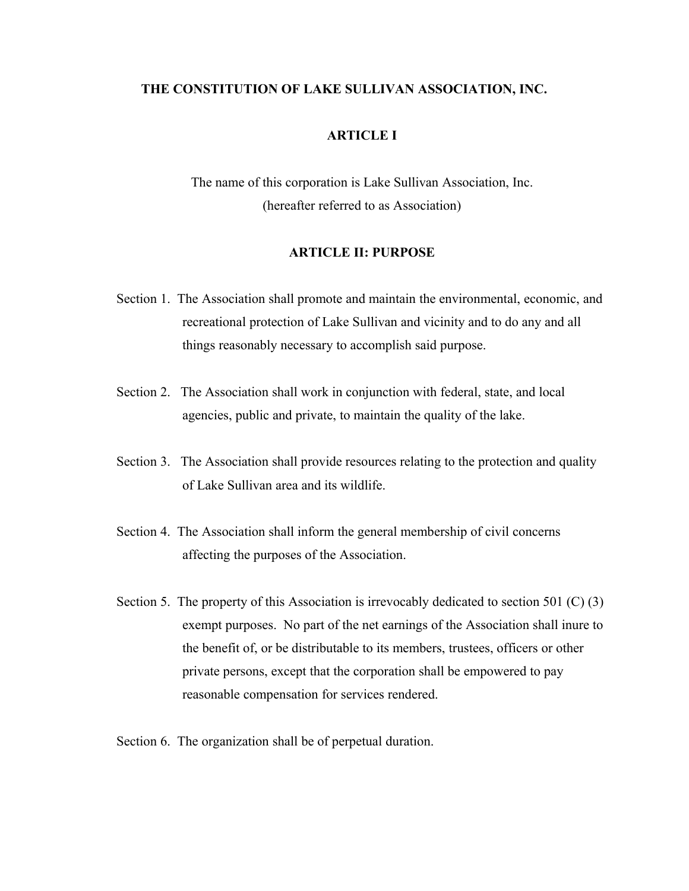### **THE CONSTITUTION OF LAKE SULLIVAN ASSOCIATION, INC.**

# **ARTICLE I**

The name of this corporation is Lake Sullivan Association, Inc. (hereafter referred to as Association)

#### **ARTICLE II: PURPOSE**

- Section 1. The Association shall promote and maintain the environmental, economic, and recreational protection of Lake Sullivan and vicinity and to do any and all things reasonably necessary to accomplish said purpose.
- Section 2. The Association shall work in conjunction with federal, state, and local agencies, public and private, to maintain the quality of the lake.
- Section 3. The Association shall provide resources relating to the protection and quality of Lake Sullivan area and its wildlife.
- Section 4. The Association shall inform the general membership of civil concerns affecting the purposes of the Association.
- Section 5. The property of this Association is irrevocably dedicated to section 501 (C) (3) exempt purposes. No part of the net earnings of the Association shall inure to the benefit of, or be distributable to its members, trustees, officers or other private persons, except that the corporation shall be empowered to pay reasonable compensation for services rendered.
- Section 6. The organization shall be of perpetual duration.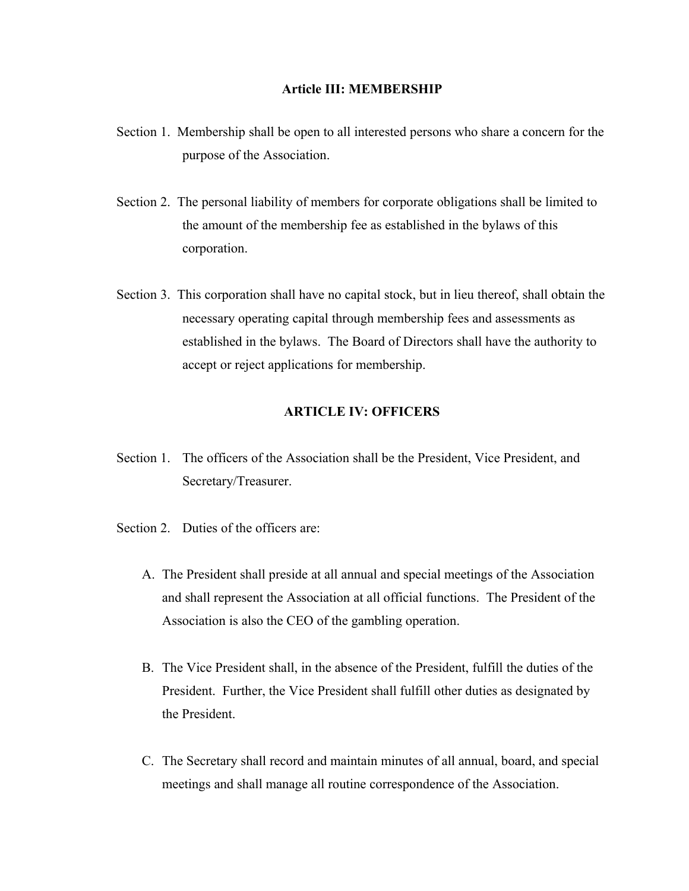### **Article III: MEMBERSHIP**

- Section 1. Membership shall be open to all interested persons who share a concern for the purpose of the Association.
- Section 2. The personal liability of members for corporate obligations shall be limited to the amount of the membership fee as established in the bylaws of this corporation.
- Section 3. This corporation shall have no capital stock, but in lieu thereof, shall obtain the necessary operating capital through membership fees and assessments as established in the bylaws. The Board of Directors shall have the authority to accept or reject applications for membership.

# **ARTICLE IV: OFFICERS**

- Section 1. The officers of the Association shall be the President, Vice President, and Secretary/Treasurer.
- Section 2. Duties of the officers are:
	- A. The President shall preside at all annual and special meetings of the Association and shall represent the Association at all official functions. The President of the Association is also the CEO of the gambling operation.
	- B. The Vice President shall, in the absence of the President, fulfill the duties of the President. Further, the Vice President shall fulfill other duties as designated by the President.
	- C. The Secretary shall record and maintain minutes of all annual, board, and special meetings and shall manage all routine correspondence of the Association.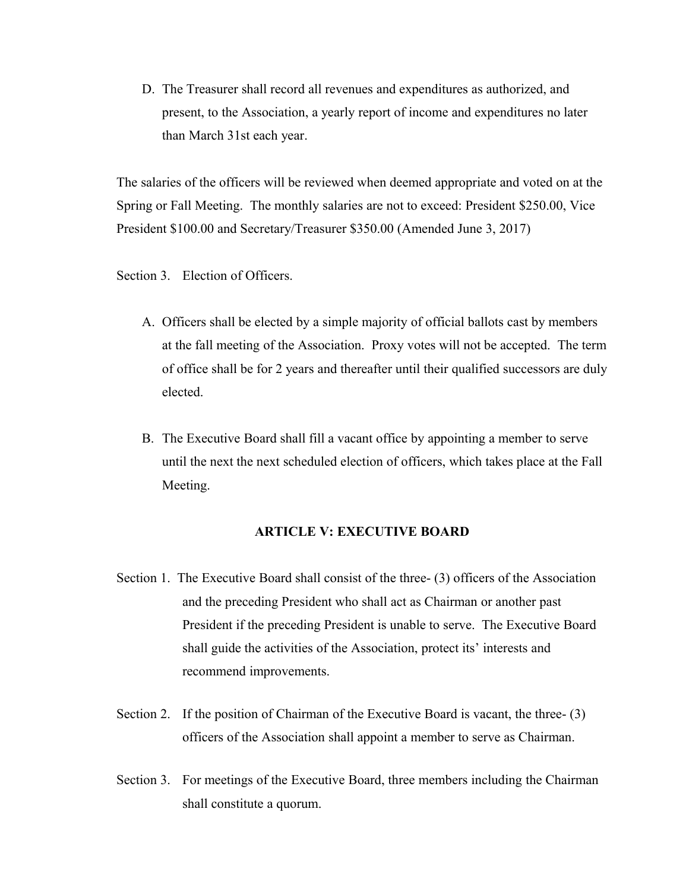D. The Treasurer shall record all revenues and expenditures as authorized, and present, to the Association, a yearly report of income and expenditures no later than March 31st each year.

The salaries of the officers will be reviewed when deemed appropriate and voted on at the Spring or Fall Meeting. The monthly salaries are not to exceed: President \$250.00, Vice President \$100.00 and Secretary/Treasurer \$350.00 (Amended June 3, 2017)

Section 3. Election of Officers.

- A. Officers shall be elected by a simple majority of official ballots cast by members at the fall meeting of the Association. Proxy votes will not be accepted. The term of office shall be for 2 years and thereafter until their qualified successors are duly elected.
- B. The Executive Board shall fill a vacant office by appointing a member to serve until the next the next scheduled election of officers, which takes place at the Fall Meeting.

# **ARTICLE V: EXECUTIVE BOARD**

- Section 1. The Executive Board shall consist of the three- (3) officers of the Association and the preceding President who shall act as Chairman or another past President if the preceding President is unable to serve. The Executive Board shall guide the activities of the Association, protect its' interests and recommend improvements.
- Section 2. If the position of Chairman of the Executive Board is vacant, the three- (3) officers of the Association shall appoint a member to serve as Chairman.
- Section 3. For meetings of the Executive Board, three members including the Chairman shall constitute a quorum.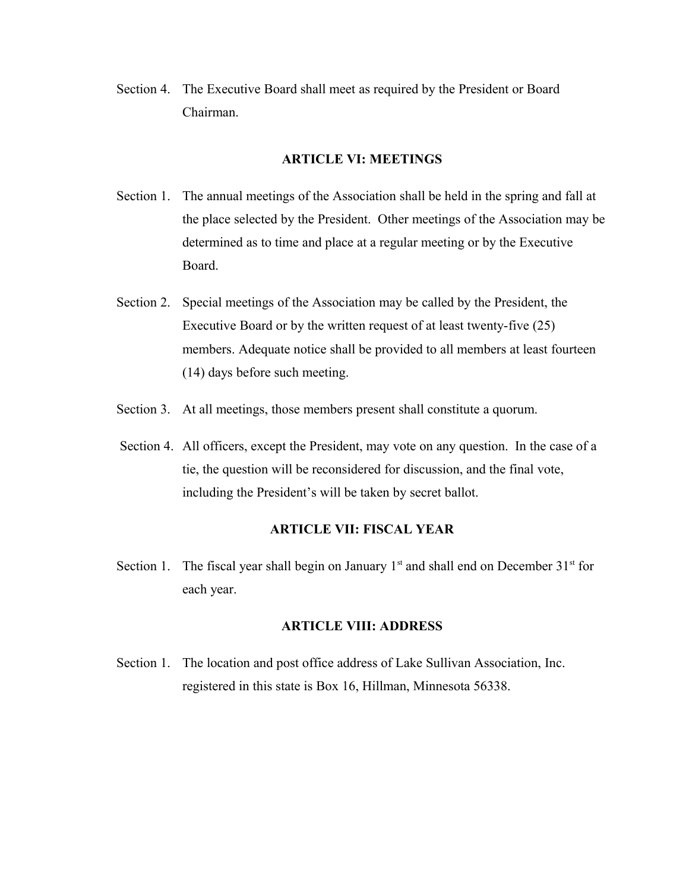Section 4. The Executive Board shall meet as required by the President or Board Chairman.

#### **ARTICLE VI: MEETINGS**

- Section 1. The annual meetings of the Association shall be held in the spring and fall at the place selected by the President. Other meetings of the Association may be determined as to time and place at a regular meeting or by the Executive Board.
- Section 2. Special meetings of the Association may be called by the President, the Executive Board or by the written request of at least twenty-five (25) members. Adequate notice shall be provided to all members at least fourteen (14) days before such meeting.
- Section 3. At all meetings, those members present shall constitute a quorum.
- Section 4. All officers, except the President, may vote on any question. In the case of a tie, the question will be reconsidered for discussion, and the final vote, including the President's will be taken by secret ballot.

### **ARTICLE VII: FISCAL YEAR**

Section 1. The fiscal year shall begin on January  $1<sup>st</sup>$  and shall end on December  $31<sup>st</sup>$  for each year.

# **ARTICLE VIII: ADDRESS**

Section 1. The location and post office address of Lake Sullivan Association, Inc. registered in this state is Box 16, Hillman, Minnesota 56338.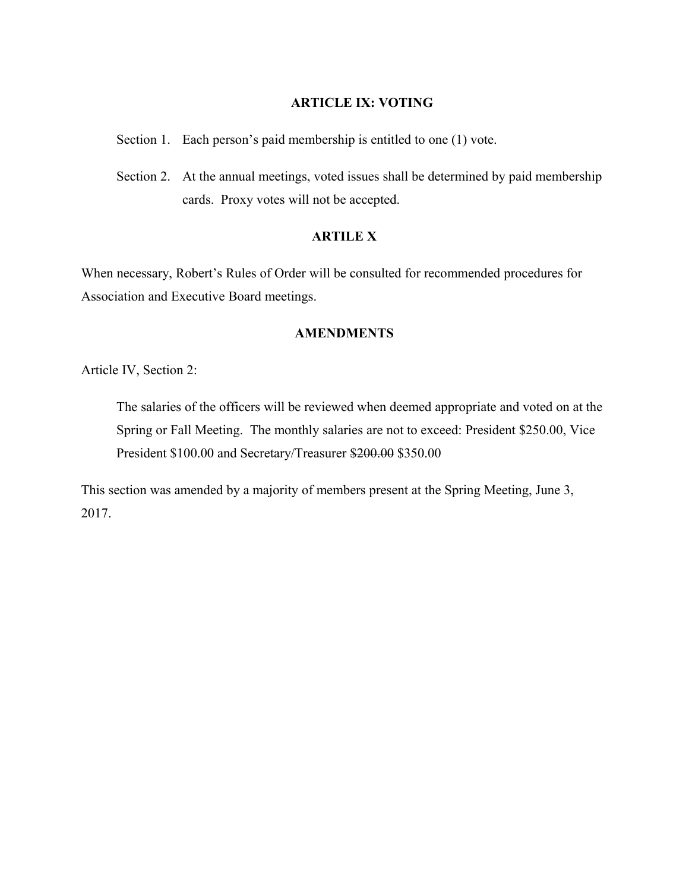# **ARTICLE IX: VOTING**

Section 1. Each person's paid membership is entitled to one (1) vote.

Section 2. At the annual meetings, voted issues shall be determined by paid membership cards. Proxy votes will not be accepted.

# **ARTILE X**

When necessary, Robert's Rules of Order will be consulted for recommended procedures for Association and Executive Board meetings.

# **AMENDMENTS**

Article IV, Section 2:

The salaries of the officers will be reviewed when deemed appropriate and voted on at the Spring or Fall Meeting. The monthly salaries are not to exceed: President \$250.00, Vice President \$100.00 and Secretary/Treasurer \$200.00 \$350.00

This section was amended by a majority of members present at the Spring Meeting, June 3, 2017.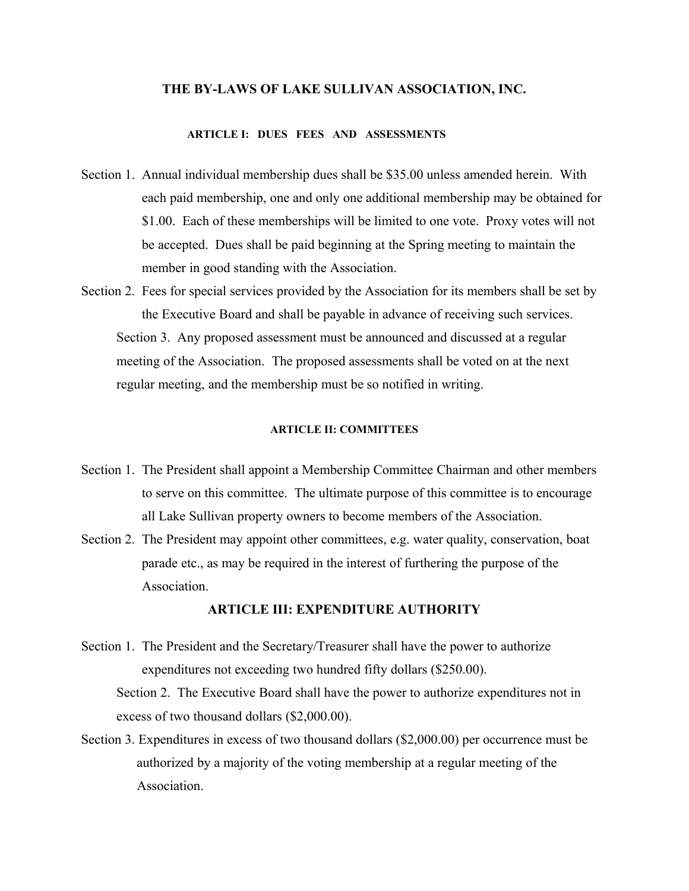#### **THE BY-LAWS OF LAKE SULLIVAN ASSOCIATION, INC.**

#### **ARTICLE I: DUES FEES AND ASSESSMENTS**

- Section 1. Annual individual membership dues shall be \$35.00 unless amended herein. With each paid membership, one and only one additional membership may be obtained for \$1.00. Each of these memberships will be limited to one vote. Proxy votes will not be accepted. Dues shall be paid beginning at the Spring meeting to maintain the member in good standing with the Association.
- Section 2. Fees for special services provided by the Association for its members shall be set by the Executive Board and shall be payable in advance of receiving such services. Section 3. Any proposed assessment must be announced and discussed at a regular meeting of the Association. The proposed assessments shall be voted on at the next regular meeting, and the membership must be so notified in writing.

#### **ARTICLE II: COMMITTEES**

- Section 1. The President shall appoint a Membership Committee Chairman and other members to serve on this committee. The ultimate purpose of this committee is to encourage all Lake Sullivan property owners to become members of the Association.
- Section 2. The President may appoint other committees, e.g. water quality, conservation, boat parade etc., as may be required in the interest of furthering the purpose of the Association.

#### **ARTICLE III: EXPENDITURE AUTHORITY**

- Section 1. The President and the Secretary/Treasurer shall have the power to authorize expenditures not exceeding two hundred fifty dollars (\$250.00). Section 2. The Executive Board shall have the power to authorize expenditures not in excess of two thousand dollars (\$2,000.00).
- Section 3. Expenditures in excess of two thousand dollars (\$2,000.00) per occurrence must be authorized by a majority of the voting membership at a regular meeting of the Association.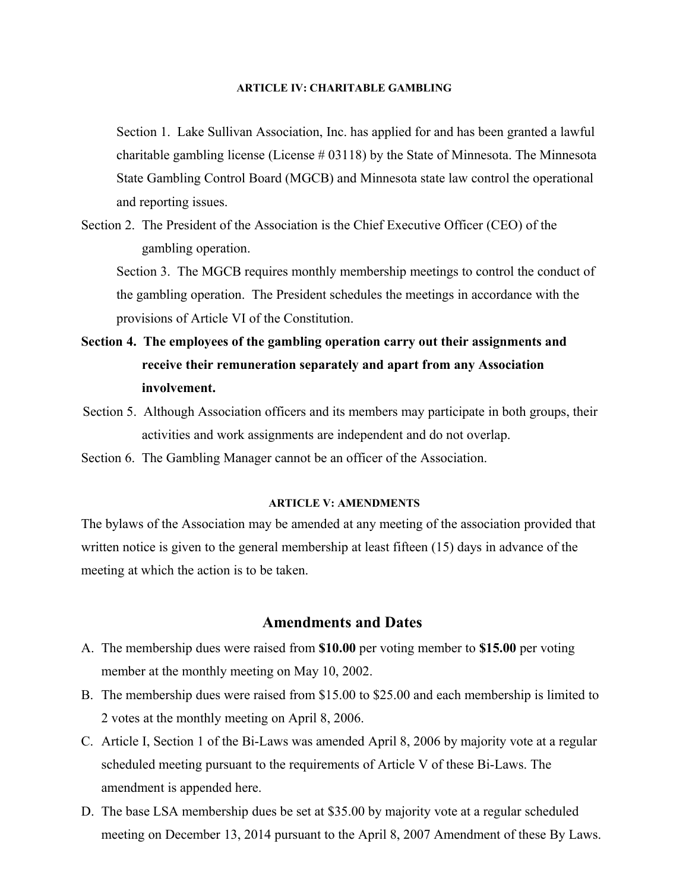#### **ARTICLE IV: CHARITABLE GAMBLING**

Section 1. Lake Sullivan Association, Inc. has applied for and has been granted a lawful charitable gambling license (License  $\#$  03118) by the State of Minnesota. The Minnesota State Gambling Control Board (MGCB) and Minnesota state law control the operational and reporting issues.

Section 2. The President of the Association is the Chief Executive Officer (CEO) of the gambling operation.

Section 3. The MGCB requires monthly membership meetings to control the conduct of the gambling operation. The President schedules the meetings in accordance with the provisions of Article VI of the Constitution.

- **Section 4. The employees of the gambling operation carry out their assignments and receive their remuneration separately and apart from any Association involvement.**
- Section 5. Although Association officers and its members may participate in both groups, their activities and work assignments are independent and do not overlap.
- Section 6. The Gambling Manager cannot be an officer of the Association.

# **ARTICLE V: AMENDMENTS**

The bylaws of the Association may be amended at any meeting of the association provided that written notice is given to the general membership at least fifteen (15) days in advance of the meeting at which the action is to be taken.

# **Amendments and Dates**

- A. The membership dues were raised from **\$10.00** per voting member to **\$15.00** per voting member at the monthly meeting on May 10, 2002.
- B. The membership dues were raised from \$15.00 to \$25.00 and each membership is limited to 2 votes at the monthly meeting on April 8, 2006.
- C. Article I, Section 1 of the Bi-Laws was amended April 8, 2006 by majority vote at a regular scheduled meeting pursuant to the requirements of Article V of these Bi-Laws. The amendment is appended here.
- D. The base LSA membership dues be set at \$35.00 by majority vote at a regular scheduled meeting on December 13, 2014 pursuant to the April 8, 2007 Amendment of these By Laws.